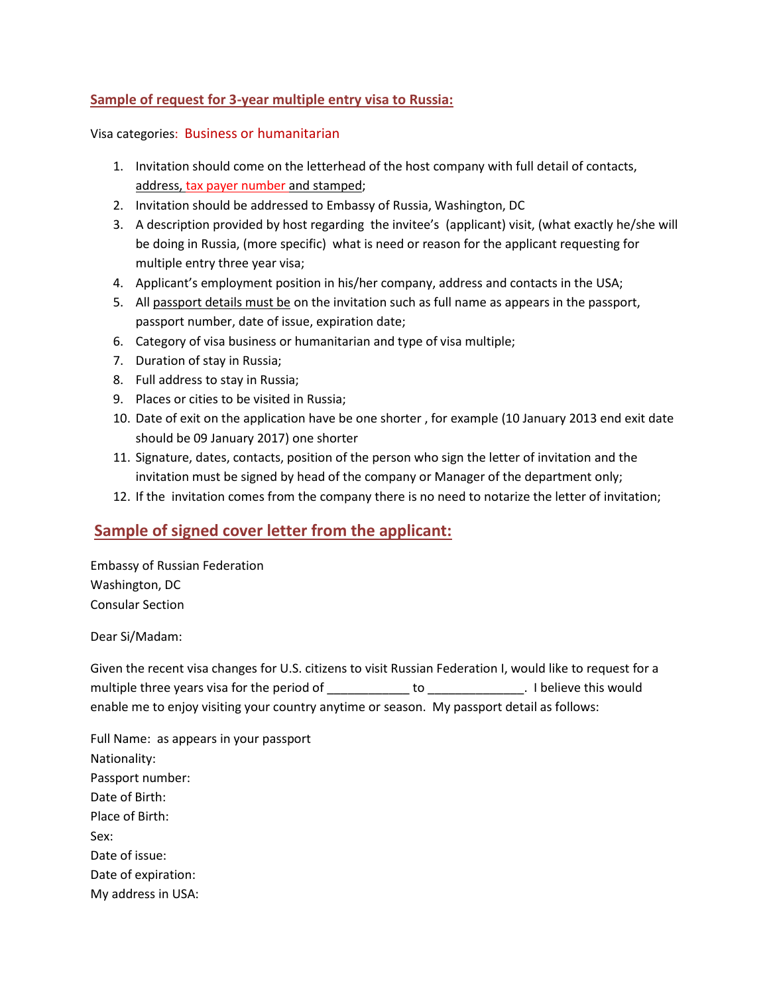## **Sample of request for 3-year multiple entry visa to Russia:**

## Visa categories: Business or humanitarian

- 1. Invitation should come on the letterhead of the host company with full detail of contacts, address, tax payer number and stamped;
- 2. Invitation should be addressed to Embassy of Russia, Washington, DC
- 3. A description provided by host regarding the invitee's (applicant) visit, (what exactly he/she will be doing in Russia, (more specific) what is need or reason for the applicant requesting for multiple entry three year visa;
- 4. Applicant's employment position in his/her company, address and contacts in the USA;
- 5. All passport details must be on the invitation such as full name as appears in the passport, passport number, date of issue, expiration date;
- 6. Category of visa business or humanitarian and type of visa multiple;
- 7. Duration of stay in Russia;
- 8. Full address to stay in Russia;
- 9. Places or cities to be visited in Russia;
- 10. Date of exit on the application have be one shorter , for example (10 January 2013 end exit date should be 09 January 2017) one shorter
- 11. Signature, dates, contacts, position of the person who sign the letter of invitation and the invitation must be signed by head of the company or Manager of the department only;
- 12. If the invitation comes from the company there is no need to notarize the letter of invitation;

## **Sample of signed cover letter from the applicant:**

Embassy of Russian Federation Washington, DC Consular Section

Dear Si/Madam:

Given the recent visa changes for U.S. citizens to visit Russian Federation I, would like to request for a multiple three years visa for the period of \_\_\_\_\_\_\_\_\_\_\_\_\_ to \_\_\_\_\_\_\_\_\_\_\_\_\_\_. I believe this would enable me to enjoy visiting your country anytime or season. My passport detail as follows:

Full Name: as appears in your passport Nationality: Passport number: Date of Birth: Place of Birth: Sex: Date of issue: Date of expiration: My address in USA: